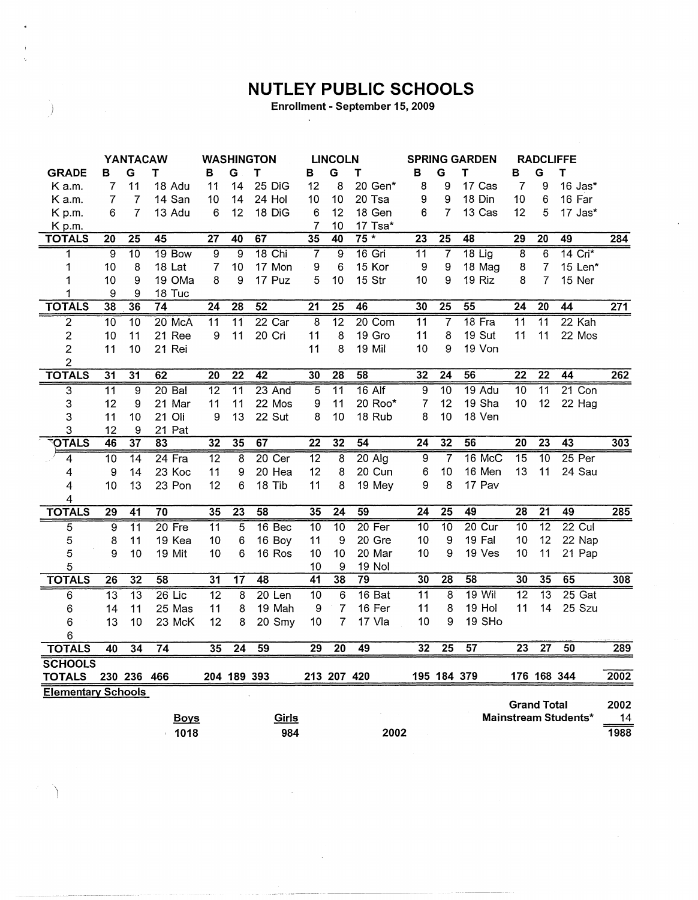## **NUTLEY PUBLIC SCHOOLS**

Enrollment - September 15, 2009

 $\ddot{\phantom{a}}$ 

 $\big)$ 

|                           |                 | <b>YANTACAW</b> |                 |                 |                 | <b>WASHINGTON</b> |                 | <b>LINCOLN</b>  |                 | <b>SPRING GARDEN</b> |                 | <b>RADCLIFFE</b> |                    |                 |                      |      |
|---------------------------|-----------------|-----------------|-----------------|-----------------|-----------------|-------------------|-----------------|-----------------|-----------------|----------------------|-----------------|------------------|--------------------|-----------------|----------------------|------|
| <b>GRADE</b>              | в               | G               | т               | в               | G               | Т                 | в               | G               | Т               | в                    | G               | Т                | B                  | G               | Т                    |      |
| K a.m.                    | 7               | 11              | 18 Adu          | 11              | 14              | 25 DiG            | 12              | 8               | 20 Gen*         | 8                    | 9               | 17 Cas           | $\overline{7}$     | 9               | 16 Jas*              |      |
| K a.m.                    | $\overline{7}$  | $\overline{7}$  | 14 San          | 10              | 14              | 24 Hol            | 10              | 10              | 20 Tsa          | 9                    | 9               | 18 Din           | 10                 | 6               | 16 Far               |      |
| K p.m.                    | 6               | $\overline{7}$  | 13 Adu          | 6               | 12              | 18 DiG            | 6               | 12              | 18 Gen          | 6                    | $\overline{7}$  | 13 Cas           | 12                 | 5               | 17 Jas*              |      |
| K p.m.                    |                 |                 |                 |                 |                 |                   | 7               | 10              | 17 Tsa*         |                      |                 |                  |                    |                 |                      |      |
| <b>TOTALS</b>             | $\overline{20}$ | $\overline{25}$ | 45              | $\overline{27}$ | 40              | 67                | 35              | 40              | $75*$           | $\overline{23}$      | $\overline{25}$ | 48               | $\overline{29}$    | 20              | 49                   | 284  |
| 1                         | 9               | $\overline{10}$ | 19 Bow          | $\overline{9}$  | $\overline{9}$  | $18$ Chi          | $\overline{7}$  | $\overline{9}$  | 16 Gri          | $\overline{11}$      | $\overline{7}$  | $18$ Lig         | $\overline{8}$     | 6               | $14$ Cri $*$         |      |
| 1                         | 10              | 8               | 18 Lat          | $\overline{7}$  | 10              | 17 Mon            | 9               | 6               | 15 Kor          | 9                    | 9               | 18 Mag           | 8                  | $\overline{7}$  | 15 Len*              |      |
| 1                         | 10              | 9               | 19 OMa          | 8               | 9               | 17 Puz            | 5               | 10              | 15 Str          | 10                   | 9               | 19 Riz           | 8                  | $\overline{7}$  | 15 Ner               |      |
| 1                         | 9               | 9               | 18 Tuc          |                 |                 |                   |                 |                 |                 |                      |                 |                  |                    |                 |                      |      |
| <b>TOTALS</b>             | 38              | 36              | 74              | $\overline{24}$ | 28              | 52                | 21              | $\overline{25}$ | $\overline{46}$ | 30                   | $\overline{25}$ | $\overline{55}$  | $\overline{24}$    | $\overline{20}$ | 44                   | 271  |
| $\overline{2}$            | $\overline{10}$ | $\overline{10}$ | 20 McA          | $\overline{11}$ | $\overline{11}$ | $22$ Car          | $\overline{8}$  | $\overline{12}$ | 20 Com          | $\overline{11}$      | $\overline{7}$  | 18 Fra           | $\overline{11}$    | $\overline{11}$ | $22$ Kah             |      |
| $\overline{c}$            | 10              | 11              | 21 Ree          | 9               | 11              | 20 Cri            | 11              | 8               | 19 Gro          | 11                   | 8               | 19 Sut           | 11                 | 11              | 22 Mos               |      |
| $\overline{c}$            | 11              | 10              | 21 Rei          |                 |                 |                   | 11              | 8               | 19 Mil          | 10                   | 9               | 19 Von           |                    |                 |                      |      |
| $\overline{2}$            |                 |                 |                 |                 |                 |                   |                 |                 |                 |                      |                 |                  |                    |                 |                      |      |
| <b>TOTALS</b>             | $\overline{31}$ | $\overline{31}$ | 62              | $\overline{20}$ | $\overline{22}$ | $\overline{42}$   | 30              | $\overline{28}$ | $\overline{58}$ | $\overline{32}$      | $\overline{24}$ | 56               | $\overline{22}$    | $\overline{22}$ | 44                   | 262  |
| $\overline{3}$            | $\overline{11}$ | $\overline{9}$  | $20$ Bal        | $\overline{12}$ | $\overline{11}$ | 23 And            | $\overline{5}$  | $\overline{11}$ | $16$ Alf        | $\overline{9}$       | 10              | 19 Adu           | 10                 | $\overline{11}$ | $21$ Con             |      |
| 3                         | 12              | 9               | 21 Mar          | 11              | 11              | 22 Mos            | 9               | 11              | 20 Roo*         | 7                    | 12              | 19 Sha           | 10                 | 12              | 22 Hag               |      |
| 3                         | 11              | 10              | 21 Oli          | 9               | 13              | 22 Sut            | 8               | 10              | 18 Rub          | 8                    | 10              | 18 Ven           |                    |                 |                      |      |
| 3                         | 12              | 9               | 21 Pat          |                 |                 |                   |                 |                 |                 |                      |                 |                  |                    |                 |                      |      |
| <b>OTALS</b>              | 46              | $\overline{37}$ | 83              | 32              | $\overline{35}$ | 67                | $\overline{22}$ | $\overline{32}$ | 54              | $\overline{24}$      | 32              | 56               | $\overline{20}$    | $\overline{23}$ | $\overline{43}$      | 303  |
| 4                         | $\overline{10}$ | $\overline{14}$ | $24$ Fra        | $\overline{12}$ | 8               | $20$ Cer          | $\overline{12}$ | 8               | $20$ Alg        | 9                    | $\overline{7}$  | 16 McC           | $\overline{15}$    | $\overline{10}$ | 25 Per               |      |
| 4                         | 9               | 14              | 23 Koc          | 11              | 9               | 20 Hea            | 12              | 8               | 20 Cun          | 6                    | 10              | 16 Men           | 13                 | 11              | 24 Sau               |      |
| 4                         | 10              | 13              | 23 Pon          | 12              | 6               | 18 Tib            | 11              | 8               | 19 Mey          | 9                    | 8               | 17 Pav           |                    |                 |                      |      |
| 4                         |                 |                 |                 |                 |                 |                   |                 |                 |                 |                      |                 |                  |                    |                 |                      |      |
| <b>TOTALS</b>             | $\overline{29}$ | 41              | $\overline{70}$ | 35              | $\overline{23}$ | 58                | 35              | $\overline{24}$ | $\overline{59}$ | 24                   | $\overline{25}$ | 49               | 28                 | $\overline{21}$ | 49                   | 285  |
| 5                         | 9               | $\overline{11}$ | $20$ Fre        | $\overline{11}$ | $\overline{5}$  | 16 Bec            | $\overline{10}$ | $\overline{10}$ | $20$ Fer        | 10                   | $\overline{10}$ | 20 Cur           | $\overline{10}$    | $\overline{12}$ | $22$ Cul             |      |
| 5                         | 8               | 11              | 19 Kea          | 10              | 6               | 16 Boy            | 11              | 9               | 20 Gre          | 10                   | 9               | 19 Fal           | 10                 | 12              | 22 Nap               |      |
| 5                         | 9               | 10              | 19 Mit          | 10              | 6               | 16 Ros            | 10              | 10              | 20 Mar          | 10                   | 9               | 19 Ves           | 10                 | 11              | 21 Pap               |      |
| 5                         |                 |                 |                 |                 |                 |                   | 10              | 9               | <b>19 Nol</b>   |                      |                 |                  |                    |                 |                      |      |
| <b>TOTALS</b>             | $\overline{26}$ | $\overline{32}$ | 58              | 31              | $\overline{17}$ | 48                | 41              | 38              | $\overline{79}$ | 30                   | $\overline{28}$ | 58               | 30                 | 35              | 65                   | 308  |
| 6                         | $\overline{13}$ | $\overline{13}$ | $26$ Lic        | $\overline{12}$ | 8               | $20$ Len          | 10              | 6               | 16 Bat          | $\overline{11}$      | 8               | $19$ Wil         | $\overline{12}$    | $\overline{13}$ | $25$ Gat             |      |
| 6                         | 14              | 11              | 25 Mas          | 11              | 8               | 19 Mah            | 9               | $\overline{7}$  | 16 Fer          | 11                   | 8               | 19 Hol           | 11                 | 14              | 25 Szu               |      |
| 6                         | 13              | 10              | 23 McK          | 12              | 8               | 20 Smy            | 10              | $\overline{7}$  | 17 Vla          | 10                   | 9               | 19 SHo           |                    |                 |                      |      |
| 6                         |                 |                 |                 |                 |                 |                   |                 |                 |                 |                      |                 |                  |                    |                 |                      |      |
| <b>TOTALS</b>             | 40              | $\overline{34}$ | 74              | 35              | $\overline{24}$ | 59                | 29              | $\overline{20}$ | 49              | 32                   | $\overline{25}$ | $\overline{57}$  | $\overline{23}$    | $\overline{27}$ | 50                   | 289  |
| <b>SCHOOLS</b>            |                 |                 |                 |                 |                 |                   |                 |                 |                 |                      |                 |                  |                    |                 |                      |      |
| <b>TOTALS</b>             |                 | 230 236 466     |                 |                 | 204 189 393     |                   |                 | 213 207 420     |                 |                      | 195 184 379     |                  |                    | 176 168 344     |                      | 2002 |
| <b>Elementary Schools</b> |                 |                 |                 |                 |                 |                   |                 |                 |                 |                      |                 |                  |                    |                 |                      |      |
|                           |                 |                 |                 |                 |                 |                   |                 |                 |                 |                      |                 |                  | <b>Grand Total</b> |                 |                      | 2002 |
|                           |                 |                 | <b>Boys</b>     |                 |                 | Girls             |                 |                 |                 |                      |                 |                  |                    |                 | Mainstream Students* | 14   |
|                           |                 |                 | $-1018$         |                 |                 | 984               |                 |                 | 2002            |                      |                 |                  |                    |                 |                      | 1988 |